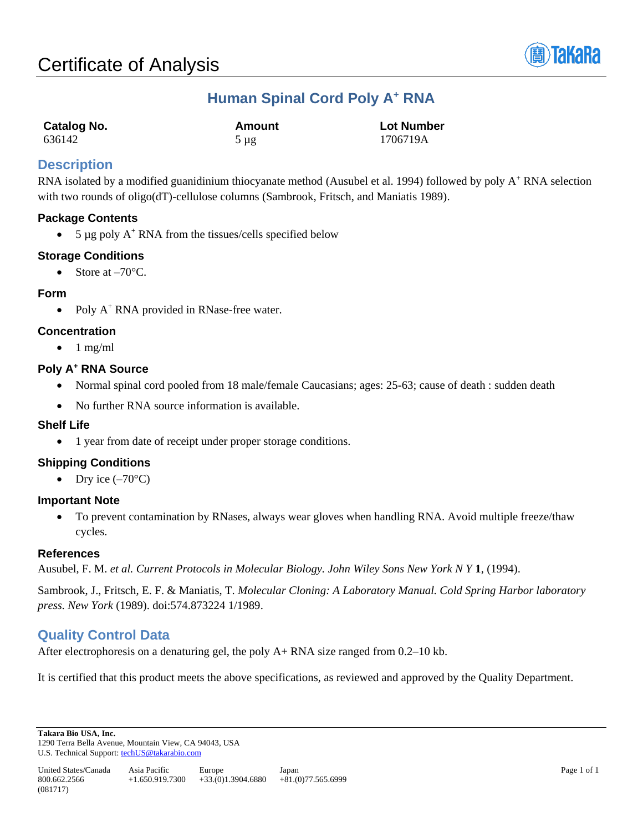

# **Human Spinal Cord Poly A<sup>+</sup> RNA**

| Catalog No. | Amount    | <b>Lot Number</b> |
|-------------|-----------|-------------------|
| 636142      | $5 \mu g$ | 1706719A          |

# **Description**

RNA isolated by a modified guanidinium thiocyanate method (Ausubel et al. 1994) followed by poly A<sup>+</sup> RNA selection with two rounds of oligo(dT)-cellulose columns (Sambrook, Fritsch, and Maniatis 1989).

# **Package Contents**

• 5 µg poly  $A^+$  RNA from the tissues/cells specified below

# **Storage Conditions**

• Store at  $-70^{\circ}$ C.

## **Form**

• Poly  $A^+$  RNA provided in RNase-free water.

# **Concentration**

 $\bullet$  1 mg/ml

## **Poly A<sup>+</sup> RNA Source**

- Normal spinal cord pooled from 18 male/female Caucasians; ages: 25-63; cause of death : sudden death
- No further RNA source information is available.

# **Shelf Life**

• 1 year from date of receipt under proper storage conditions.

# **Shipping Conditions**

• Dry ice  $(-70^{\circ}C)$ 

### **Important Note**

• To prevent contamination by RNases, always wear gloves when handling RNA. Avoid multiple freeze/thaw cycles.

### **References**

Ausubel, F. M. *et al. Current Protocols in Molecular Biology. John Wiley Sons New York N Y* **1**, (1994).

Sambrook, J., Fritsch, E. F. & Maniatis, T. *Molecular Cloning: A Laboratory Manual. Cold Spring Harbor laboratory press. New York* (1989). doi:574.873224 1/1989.

# **Quality Control Data**

After electrophoresis on a denaturing gel, the poly A+ RNA size ranged from 0.2–10 kb.

It is certified that this product meets the above specifications, as reviewed and approved by the Quality Department.